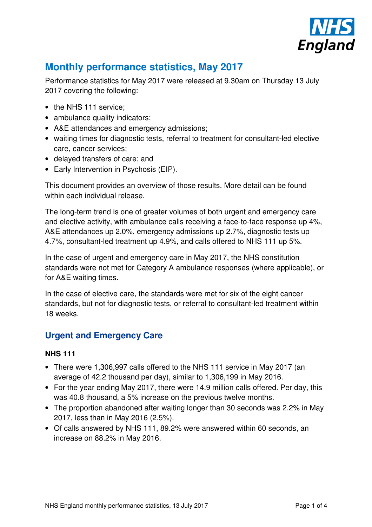

# **Monthly performance statistics, May 2017**

Performance statistics for May 2017 were released at 9.30am on Thursday 13 July 2017 covering the following:

- the NHS 111 service:
- ambulance quality indicators;
- A&E attendances and emergency admissions;
- waiting times for diagnostic tests, referral to treatment for consultant-led elective care, cancer services;
- delayed transfers of care; and
- Early Intervention in Psychosis (EIP).

This document provides an overview of those results. More detail can be found within each individual release.

The long-term trend is one of greater volumes of both urgent and emergency care and elective activity, with ambulance calls receiving a face-to-face response up 4%, A&E attendances up 2.0%, emergency admissions up 2.7%, diagnostic tests up 4.7%, consultant-led treatment up 4.9%, and calls offered to NHS 111 up 5%.

In the case of urgent and emergency care in May 2017, the NHS constitution standards were not met for Category A ambulance responses (where applicable), or for A&E waiting times.

In the case of elective care, the standards were met for six of the eight cancer standards, but not for diagnostic tests, or referral to consultant-led treatment within 18 weeks.

# **Urgent and Emergency Care**

#### **NHS 111**

- There were 1,306,997 calls offered to the NHS 111 service in May 2017 (an average of 42.2 thousand per day), similar to 1,306,199 in May 2016.
- For the year ending May 2017, there were 14.9 million calls offered. Per day, this was 40.8 thousand, a 5% increase on the previous twelve months.
- The proportion abandoned after waiting longer than 30 seconds was 2.2% in May 2017, less than in May 2016 (2.5%).
- Of calls answered by NHS 111, 89.2% were answered within 60 seconds, an increase on 88.2% in May 2016.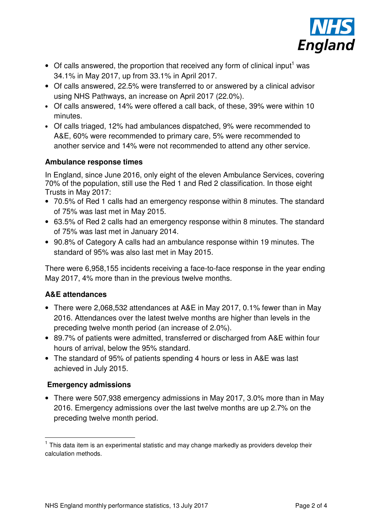

- $\bullet$  Of calls answered, the proportion that received any form of clinical input<sup>1</sup> was 34.1% in May 2017, up from 33.1% in April 2017.
- Of calls answered, 22.5% were transferred to or answered by a clinical advisor using NHS Pathways, an increase on April 2017 (22.0%).
- Of calls answered, 14% were offered a call back, of these, 39% were within 10 minutes.
- Of calls triaged, 12% had ambulances dispatched, 9% were recommended to A&E, 60% were recommended to primary care, 5% were recommended to another service and 14% were not recommended to attend any other service.

#### **Ambulance response times**

In England, since June 2016, only eight of the eleven Ambulance Services, covering 70% of the population, still use the Red 1 and Red 2 classification. In those eight Trusts in May 2017:

- 70.5% of Red 1 calls had an emergency response within 8 minutes. The standard of 75% was last met in May 2015.
- 63.5% of Red 2 calls had an emergency response within 8 minutes. The standard of 75% was last met in January 2014.
- 90.8% of Category A calls had an ambulance response within 19 minutes. The standard of 95% was also last met in May 2015.

There were 6,958,155 incidents receiving a face-to-face response in the year ending May 2017, 4% more than in the previous twelve months.

#### **A&E attendances**

- There were 2,068,532 attendances at A&E in May 2017, 0.1% fewer than in May 2016. Attendances over the latest twelve months are higher than levels in the preceding twelve month period (an increase of 2.0%).
- 89.7% of patients were admitted, transferred or discharged from A&E within four hours of arrival, below the 95% standard.
- The standard of 95% of patients spending 4 hours or less in A&E was last achieved in July 2015.

#### **Emergency admissions**

 $\overline{a}$ 

• There were 507,938 emergency admissions in May 2017, 3.0% more than in May 2016. Emergency admissions over the last twelve months are up 2.7% on the preceding twelve month period.

<sup>&</sup>lt;sup>1</sup> This data item is an experimental statistic and may change markedly as providers develop their calculation methods.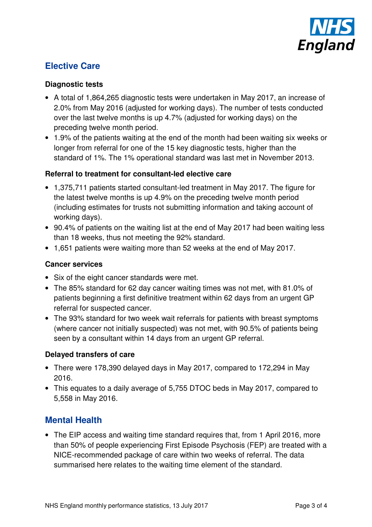

# **Elective Care**

#### **Diagnostic tests**

- A total of 1,864,265 diagnostic tests were undertaken in May 2017, an increase of 2.0% from May 2016 (adjusted for working days). The number of tests conducted over the last twelve months is up 4.7% (adjusted for working days) on the preceding twelve month period.
- 1.9% of the patients waiting at the end of the month had been waiting six weeks or longer from referral for one of the 15 key diagnostic tests, higher than the standard of 1%. The 1% operational standard was last met in November 2013.

#### **Referral to treatment for consultant-led elective care**

- 1,375,711 patients started consultant-led treatment in May 2017. The figure for the latest twelve months is up 4.9% on the preceding twelve month period (including estimates for trusts not submitting information and taking account of working days).
- 90.4% of patients on the waiting list at the end of May 2017 had been waiting less than 18 weeks, thus not meeting the 92% standard.
- 1,651 patients were waiting more than 52 weeks at the end of May 2017.

#### **Cancer services**

- Six of the eight cancer standards were met.
- The 85% standard for 62 day cancer waiting times was not met, with 81.0% of patients beginning a first definitive treatment within 62 days from an urgent GP referral for suspected cancer.
- The 93% standard for two week wait referrals for patients with breast symptoms (where cancer not initially suspected) was not met, with 90.5% of patients being seen by a consultant within 14 days from an urgent GP referral.

#### **Delayed transfers of care**

- There were 178,390 delayed days in May 2017, compared to 172,294 in May 2016.
- This equates to a daily average of 5,755 DTOC beds in May 2017, compared to 5,558 in May 2016.

# **Mental Health**

• The EIP access and waiting time standard requires that, from 1 April 2016, more than 50% of people experiencing First Episode Psychosis (FEP) are treated with a NICE-recommended package of care within two weeks of referral. The data summarised here relates to the waiting time element of the standard.